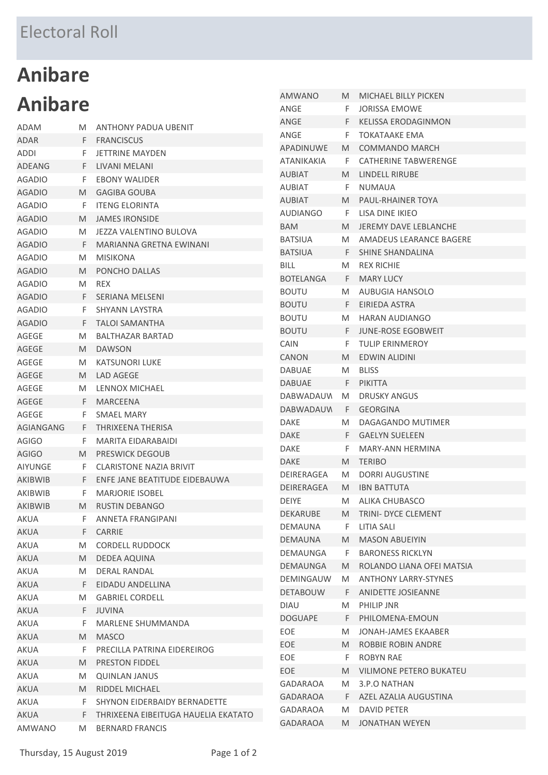## **Electoral Roll**

## **Anibare** Anihoro

| <u>Allibare</u> |             |                                     | ANGE                       | F      | <b>JORISSA EMOWE</b>                         |
|-----------------|-------------|-------------------------------------|----------------------------|--------|----------------------------------------------|
| ADAM            | M           | ANTHONY PADUA UBENIT                | ANGE                       | F.     | <b>KELISSA ERODAGINMON</b>                   |
| ADAR            | F.          | <b>FRANCISCUS</b>                   | ANGE                       | F.     | TOKATAAKE EMA                                |
| ADDI            | F           | <b>JETTRINE MAYDEN</b>              | APADINUWE                  |        | M COMMANDO MARCH                             |
| ADEANG          | F.          | LIVANI MELANI                       | ATANIKAKIA                 | F.     | <b>CATHERINE TABWERENGE</b>                  |
| <b>AGADIO</b>   | F.          | <b>EBONY WALIDER</b>                | <b>AUBIAT</b>              | M      | LINDELL RIRUBE                               |
| AGADIO          | M           | GAGIBA GOUBA                        | <b>AUBIAT</b>              | F      | NUMAUA                                       |
| <b>AGADIO</b>   | F           | <b>ITENG ELORINTA</b>               | <b>AUBIAT</b>              | M      | PAUL-RHAINER TOYA                            |
| AGADIO          | M           | <b>JAMES IRONSIDE</b>               | AUDIANGO                   | F.     | LISA DINE IKIEO                              |
| AGADIO          | M           | JEZZA VALENTINO BULOVA              | BAM                        | M      | JEREMY DAVE LEBLANCHE                        |
| AGADIO          | F.          | MARIANNA GRETNA EWINANI             | <b>BATSIUA</b>             | M      | AMADEUS LEARANCE BAGERE                      |
| AGADIO          | M           | MISIKONA                            | <b>BATSIUA</b>             | F.     | SHINE SHANDALINA                             |
| <b>AGADIO</b>   | M           | PONCHO DALLAS                       | <b>BILL</b>                | M      | <b>REX RICHIE</b>                            |
| AGADIO          | M           | <b>REX</b>                          | <b>BOTELANGA</b>           | F.     | <b>MARY LUCY</b>                             |
| AGADIO          | F.          | <b>SERIANA MELSENI</b>              | <b>BOUTU</b>               |        | M AUBUGIA HANSOLO                            |
| AGADIO          | F.          | SHYANN LAYSTRA                      | <b>BOUTU</b>               | F.     | EIRIEDA ASTRA                                |
| AGADIO          | F.          | <b>TALOI SAMANTHA</b>               | <b>BOUTU</b>               | M      | <b>HARAN AUDIANGO</b>                        |
| AGEGE           | M           | <b>BALTHAZAR BARTAD</b>             | <b>BOUTU</b>               |        | F JUNE-ROSE EGOBWEIT                         |
| AGEGE           | M           | <b>DAWSON</b>                       | <b>CAIN</b>                | F      | <b>TULIP ERINMEROY</b>                       |
| AGEGE           | M           | <b>KATSUNORI LUKE</b>               | CANON                      | M      | EDWIN ALIDINI                                |
| AGEGE           | M           | LAD AGEGE                           | DABUAE                     | M      | <b>BLISS</b>                                 |
| AGEGE           | M           | LENNOX MICHAEL                      | <b>DABUAE</b>              | F.     | <b>PIKITTA</b>                               |
| AGEGE           | F.          | <b>MARCEENA</b>                     | DABWADAUW                  | M      | DRUSKY ANGUS                                 |
| AGEGE           | F           | SMAEL MARY                          | DABWADAUW                  | F.     | GEORGINA                                     |
| AGIANGANG       | F.          | THRIXEENA THERISA                   | DAKE                       | M      | DAGAGANDO MUTIMER                            |
| <b>AGIGO</b>    | F.          | MARITA EIDARABAIDI                  | DAKE                       | F.     | <b>GAELYN SUELEEN</b>                        |
| AGIGO           | M           | <b>PRESWICK DEGOUB</b>              | DAKE                       | F      | MARY-ANN HERMINA                             |
| <b>AIYUNGE</b>  | F.          | <b>CLARISTONE NAZIA BRIVIT</b>      | DAKE                       | M      | <b>TERIBO</b>                                |
| <b>AKIBWIB</b>  | F.          | ENFE JANE BEATITUDE EIDEBAUWA       | DEIRERAGEA                 | M      | DORRI AUGUSTINE                              |
| AKIBWIB         | F.          | <b>MARJORIE ISOBEL</b>              | DEIRERAGEA<br><b>DEIYE</b> | M      | <b>IBN BATTUTA</b>                           |
| AKIBWIB         | M           | <b>RUSTIN DEBANGO</b>               | <b>DEKARUBE</b>            | M<br>M | ALIKA CHUBASCO<br><b>TRINI- DYCE CLEMENT</b> |
| AKUA            | $\mathsf F$ | ANNETA FRANGIPANI                   | DEMAUNA                    | F.     | LITIA SALI                                   |
| AKUA            | F.          | CARRIE                              | DEMAUNA                    |        | M MASON ABUEIYIN                             |
| AKUA            | M           | <b>CORDELL RUDDOCK</b>              | DEMAUNGA                   | F.     | <b>BARONESS RICKLYN</b>                      |
| <b>AKUA</b>     | M           | DEDEA AQUINA                        | DEMAUNGA                   | M.     | ROLANDO LIANA OFEI MATSIA                    |
| AKUA            | M           | DERAL RANDAL                        | DEMINGAUW                  |        | M ANTHONY LARRY-STYNES                       |
| <b>AKUA</b>     | F.          | EIDADU ANDELLINA                    | <b>DETABOUW</b>            | F.     | ANIDETTE JOSIEANNE                           |
| <b>AKUA</b>     | M           | <b>GABRIEL CORDELL</b>              | <b>DIAU</b>                | M      | PHILIP JNR                                   |
| AKUA            | F.          | <b>JUVINA</b>                       | <b>DOGUAPE</b>             |        | F PHILOMENA-EMOUN                            |
| AKUA            | F.          | MARLENE SHUMMANDA                   | EOE                        | M      | JONAH-JAMES EKAABER                          |
| AKUA            | M.          | <b>MASCO</b>                        | EOE                        |        | M ROBBIE ROBIN ANDRE                         |
| AKUA            | F.          | PRECILLA PATRINA EIDEREIROG         | EOE                        | F.     | <b>ROBYN RAE</b>                             |
| <b>AKUA</b>     | M           | PRESTON FIDDEL                      | EOE                        |        | M VILIMONE PETERO BUKATEU                    |
| AKUA            | M           | <b>QUINLAN JANUS</b>                | GADARAOA                   |        | M 3.P.O NATHAN                               |
| AKUA            | M           | <b>RIDDEL MICHAEL</b>               | <b>GADARAOA</b>            |        | F AZEL AZALIA AUGUSTINA                      |
| AKUA            | F.          | SHYNON EIDERBAIDY BERNADETTE        | GADARAOA                   | M      | DAVID PETER                                  |
| AKUA            | F.          | THRIXEENA EIBEITUGA HAUELIA EKATATO | GADARAOA                   |        | M JONATHAN WEYEN                             |
| AMWANO          | M           | <b>BERNARD FRANCIS</b>              |                            |        |                                              |

AMWANO M MICHAEL BILLY PICKEN